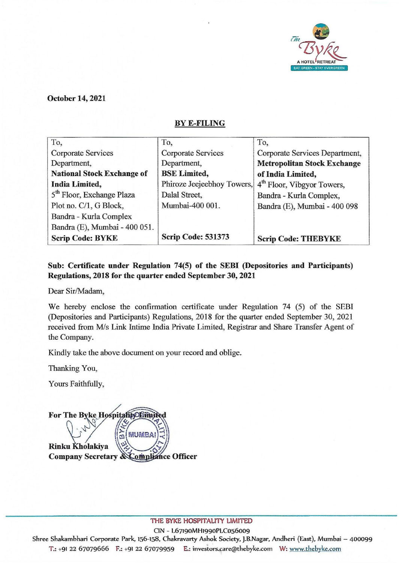

October 14, 2021

## BYE-FILING

| To,                                   | To,                        | To,                                    |
|---------------------------------------|----------------------------|----------------------------------------|
| Corporate Services                    | Corporate Services         | Corporate Services Department,         |
| Department,                           | Department,                | <b>Metropolitan Stock Exchange</b>     |
| <b>National Stock Exchange of</b>     | <b>BSE</b> Limited,        | of India Limited,                      |
| <b>India Limited,</b>                 | Phiroze Jeejeebhoy Towers, | 4 <sup>th</sup> Floor, Vibgyor Towers, |
| 5 <sup>th</sup> Floor, Exchange Plaza | Dalal Street,              | Bandra - Kurla Complex,                |
| Plot no. C/1, G Block,                | Mumbai-400 001.            | Bandra (E), Mumbai - 400 098           |
| Bandra - Kurla Complex                |                            |                                        |
| Bandra (E), Mumbai - 400 051.         |                            |                                        |
| <b>Scrip Code: BYKE</b>               | <b>Scrip Code: 531373</b>  | <b>Scrip Code: THEBYKE</b>             |

## Sub: Certificate under Regulation 74(5) of the SEBI (Depositories and Participants) Regulations, 2018 for the quarter ended September 30, 2021

Dear Sir/Madam,

We hereby enclose the confirmation certificate under Regulation 74 (5) of the SEBI (Depositories and Participants) Regulations, 2018 for the quarter ended September 30, 2021 received from M/s Link Intime India Private Limited, Registrar and Share Transfer Agent of the Company.

Kindly take the above document on your record and oblige.

Thanking You,

Yours Faithfully,

For The Byke HospitalityOEimited MUMBA d Rinku Kholakiya Company Secretary & Compliance Officer

THE BYKE HOSPITALITY LIMITED

C1N - L67190MH1990PLC056009

Shree Shakambhari Corporate Park, 156-158, Chakravarty Ashok Society, J.B.Nagar, Andheri (East), Mumbai - 400099 T.: +91 22 67079666 F.: +91 22 67079959 E.: investors.care@thebyke.com W: www.thebyke.com